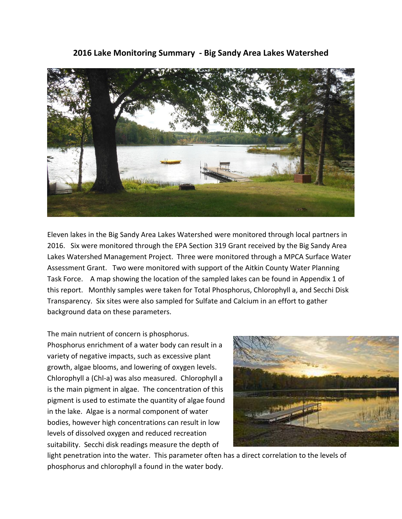# **2016 Lake Monitoring Summary - Big Sandy Area Lakes Watershed**



Eleven lakes in the Big Sandy Area Lakes Watershed were monitored through local partners in 2016. Six were monitored through the EPA Section 319 Grant received by the Big Sandy Area Lakes Watershed Management Project. Three were monitored through a MPCA Surface Water Assessment Grant. Two were monitored with support of the Aitkin County Water Planning Task Force. A map showing the location of the sampled lakes can be found in Appendix 1 of this report. Monthly samples were taken for Total Phosphorus, Chlorophyll a, and Secchi Disk Transparency. Six sites were also sampled for Sulfate and Calcium in an effort to gather background data on these parameters.

The main nutrient of concern is phosphorus. Phosphorus enrichment of a water body can result in a variety of negative impacts, such as excessive plant growth, algae blooms, and lowering of oxygen levels. Chlorophyll a (Chl-a) was also measured. Chlorophyll a is the main pigment in algae. The concentration of this pigment is used to estimate the quantity of algae found in the lake. Algae is a normal component of water bodies, however high concentrations can result in low levels of dissolved oxygen and reduced recreation suitability. Secchi disk readings measure the depth of



light penetration into the water. This parameter often has a direct correlation to the levels of phosphorus and chlorophyll a found in the water body.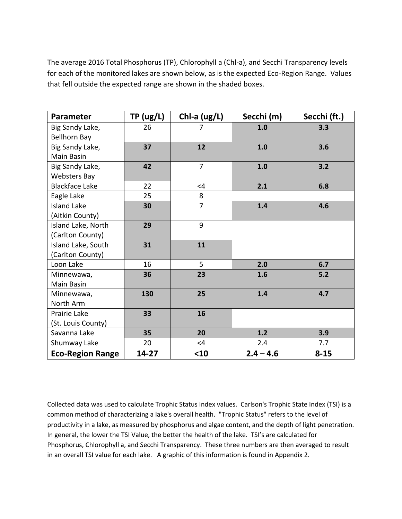The average 2016 Total Phosphorus (TP), Chlorophyll a (Chl-a), and Secchi Transparency levels for each of the monitored lakes are shown below, as is the expected Eco-Region Range. Values that fell outside the expected range are shown in the shaded boxes.

| Parameter               | TP(ug/L) | Chl-a $\text{(ug/L)}$ | Secchi (m)  | Secchi (ft.) |
|-------------------------|----------|-----------------------|-------------|--------------|
| Big Sandy Lake,         | 26       | 7                     | 1.0         | 3.3          |
| <b>Bellhorn Bay</b>     |          |                       |             |              |
| Big Sandy Lake,         | 37       | 12                    | 1.0         | 3.6          |
| Main Basin              |          |                       |             |              |
| Big Sandy Lake,         | 42       | $\overline{7}$        | 1.0         | 3.2          |
| <b>Websters Bay</b>     |          |                       |             |              |
| <b>Blackface Lake</b>   | 22       | $\leq$ 4              | 2.1         | 6.8          |
| Eagle Lake              | 25       | 8                     |             |              |
| <b>Island Lake</b>      | 30       | $\overline{7}$        | 1.4         | 4.6          |
| (Aitkin County)         |          |                       |             |              |
| Island Lake, North      | 29       | 9                     |             |              |
| (Carlton County)        |          |                       |             |              |
| Island Lake, South      | 31       | 11                    |             |              |
| (Carlton County)        |          |                       |             |              |
| Loon Lake               | 16       | 5                     | 2.0         | 6.7          |
| Minnewawa,              | 36       | 23                    | 1.6         | 5.2          |
| Main Basin              |          |                       |             |              |
| Minnewawa,              | 130      | 25                    | 1.4         | 4.7          |
| North Arm               |          |                       |             |              |
| Prairie Lake            | 33       | 16                    |             |              |
| (St. Louis County)      |          |                       |             |              |
| Savanna Lake            | 35       | 20                    | 1.2         | 3.9          |
| Shumway Lake            | 20       | $\leq$ 4              | 2.4         | 7.7          |
| <b>Eco-Region Range</b> | 14-27    | $10$                  | $2.4 - 4.6$ | $8 - 15$     |

Collected data was used to calculate Trophic Status Index values. Carlson's Trophic State Index (TSI) is a common method of characterizing a lake's overall health. "Trophic Status" refers to the level of productivity in a lake, as measured by phosphorus and algae content, and the depth of light penetration. In general, the lower the TSI Value, the better the health of the lake. TSI's are calculated for Phosphorus, Chlorophyll a, and Secchi Transparency. These three numbers are then averaged to result in an overall TSI value for each lake. A graphic of this information is found in Appendix 2.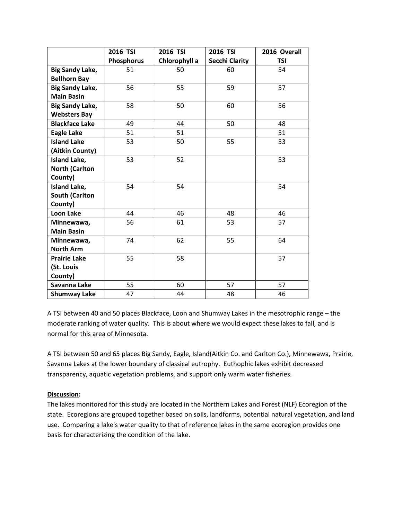|                        | 2016 TSI   | 2016 TSI      | 2016 TSI              | 2016 Overall |  |  |  |
|------------------------|------------|---------------|-----------------------|--------------|--|--|--|
|                        | Phosphorus | Chlorophyll a | <b>Secchi Clarity</b> | <b>TSI</b>   |  |  |  |
| <b>Big Sandy Lake,</b> | 51         | 50            | 60                    | 54           |  |  |  |
| <b>Bellhorn Bay</b>    |            |               |                       |              |  |  |  |
| <b>Big Sandy Lake,</b> | 56         | 55            | 59                    | 57           |  |  |  |
| <b>Main Basin</b>      |            |               |                       |              |  |  |  |
| <b>Big Sandy Lake,</b> | 58         | 50            | 60                    | 56           |  |  |  |
| <b>Websters Bay</b>    |            |               |                       |              |  |  |  |
| <b>Blackface Lake</b>  | 49         | 44            | 50                    | 48           |  |  |  |
| <b>Eagle Lake</b>      | 51         | 51            |                       | 51           |  |  |  |
| <b>Island Lake</b>     | 53         | 50            | 55                    | 53           |  |  |  |
| (Aitkin County)        |            |               |                       |              |  |  |  |
| <b>Island Lake,</b>    | 53         | 52            |                       | 53           |  |  |  |
| <b>North (Carlton</b>  |            |               |                       |              |  |  |  |
| County)                |            |               |                       |              |  |  |  |
| <b>Island Lake,</b>    | 54         | 54            |                       | 54           |  |  |  |
| <b>South (Carlton</b>  |            |               |                       |              |  |  |  |
| County)                |            |               |                       |              |  |  |  |
| <b>Loon Lake</b>       | 44         | 46            | 48                    | 46           |  |  |  |
| Minnewawa,             | 56         | 61            | 53                    | 57           |  |  |  |
| <b>Main Basin</b>      |            |               |                       |              |  |  |  |
| Minnewawa,             | 74         | 62            | 55                    | 64           |  |  |  |
| <b>North Arm</b>       |            |               |                       |              |  |  |  |
| <b>Prairie Lake</b>    | 55         | 58            |                       | 57           |  |  |  |
| (St. Louis             |            |               |                       |              |  |  |  |
| County)                |            |               |                       |              |  |  |  |
| Savanna Lake           | 55         | 60            | 57                    | 57           |  |  |  |
| <b>Shumway Lake</b>    | 47         | 44            | 48                    | 46           |  |  |  |

A TSI between 40 and 50 places Blackface, Loon and Shumway Lakes in the mesotrophic range – the moderate ranking of water quality. This is about where we would expect these lakes to fall, and is normal for this area of Minnesota.

A TSI between 50 and 65 places Big Sandy, Eagle, Island(Aitkin Co. and Carlton Co.), Minnewawa, Prairie, Savanna Lakes at the lower boundary of classical eutrophy. Euthophic lakes exhibit decreased transparency, aquatic vegetation problems, and support only warm water fisheries.

### **Discussion:**

The lakes monitored for this study are located in the Northern Lakes and Forest (NLF) Ecoregion of the state. Ecoregions are grouped together based on soils, landforms, potential natural vegetation, and land use. Comparing a lake's water quality to that of reference lakes in the same ecoregion provides one basis for characterizing the condition of the lake.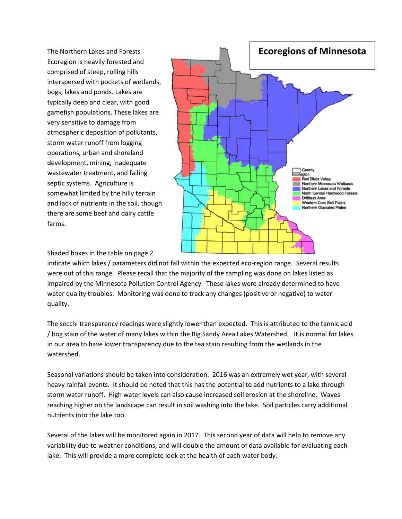The Northern Lakes and Forests Ecoregion is heavily forested and comprised of steep, rolling hills interspersed with pockets of wetlands, bogs, lakes and ponds. Lakes are typically deep and clear, with good gamefish populations. These lakes are very sensitive to damage from atmospheric deposition of pollutants, storm water runoff from logging operations, urban and shoreland development, mining, inadequate wastewater treatment, and failing septic systems. Agriculture is somewhat limited by the hilly terrain and lack of nutrients in the soil, though there are some beef and dairy cattle farms.



Shaded boxes in the table on page 2

indicate which lakes / parameters did not fall within the expected eco-region range. Several results were out of this range. Please recall that the majority of the sampling was done on lakes listed as impaired by the Minnesota Pollution Control Agency. These lakes were already determined to have water quality troubles. Monitoring was done to track any changes (positive or negative) to water quality.

The secchi transparency readings were slightly lower than expected. This is attributed to the tannic acid / bog stain of the water of many lakes within the Big Sandy Area Lakes Watershed. It is normal for lakes in our area to have lower transparency due to the tea stain resulting from the wetlands in the watershed.

Seasonal variations should be taken into consideration. 2016 was an extremely wet year, with several heavy rainfall events. It should be noted that this has the potential to add nutrients to a lake through storm water runoff. High water levels can also cause increased soil erosion at the shoreline. Waves reaching higher on the landscape can result in soil washing into the lake. Soil particles carry additional nutrients into the lake too.

Several of the lakes will be monitored again in 2017. This second year of data will help to remove any variability due to weather conditions, and will double the amount of data available for evaluating each lake. This will provide a more complete look at the health of each water body.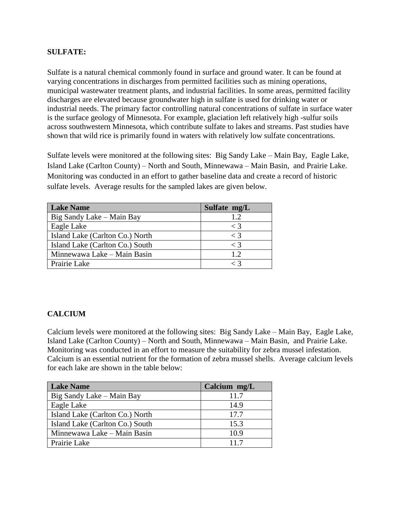## **SULFATE:**

Sulfate is a natural chemical commonly found in surface and ground water. It can be found at varying concentrations in discharges from permitted facilities such as mining operations, municipal wastewater treatment plants, and industrial facilities. In some areas, permitted facility discharges are elevated because groundwater high in sulfate is used for drinking water or industrial needs. The primary factor controlling natural concentrations of sulfate in surface water is the surface geology of Minnesota. For example, glaciation left relatively high -sulfur soils across southwestern Minnesota, which contribute sulfate to lakes and streams. Past studies have shown that wild rice is primarily found in waters with relatively low sulfate concentrations.

Sulfate levels were monitored at the following sites: Big Sandy Lake – Main Bay, Eagle Lake, Island Lake (Carlton County) – North and South, Minnewawa – Main Basin, and Prairie Lake. Monitoring was conducted in an effort to gather baseline data and create a record of historic sulfate levels. Average results for the sampled lakes are given below.

| <b>Lake Name</b>                | Sulfate mg/L        |
|---------------------------------|---------------------|
| Big Sandy Lake – Main Bay       | 1.2                 |
| Eagle Lake                      | $\langle 3 \rangle$ |
| Island Lake (Carlton Co.) North | $\langle$ 3         |
| Island Lake (Carlton Co.) South | $<$ 3               |
| Minnewawa Lake – Main Basin     | 1.2                 |
| Prairie Lake                    | < З                 |

## **CALCIUM**

Calcium levels were monitored at the following sites: Big Sandy Lake – Main Bay, Eagle Lake, Island Lake (Carlton County) – North and South, Minnewawa – Main Basin, and Prairie Lake. Monitoring was conducted in an effort to measure the suitability for zebra mussel infestation. Calcium is an essential nutrient for the formation of zebra mussel shells. Average calcium levels for each lake are shown in the table below:

| <b>Lake Name</b>                | Calcium $mg/L$ |  |  |  |  |
|---------------------------------|----------------|--|--|--|--|
| Big Sandy Lake – Main Bay       | 11.7           |  |  |  |  |
| Eagle Lake                      | 14.9           |  |  |  |  |
| Island Lake (Carlton Co.) North | 17.7           |  |  |  |  |
| Island Lake (Carlton Co.) South | 15.3           |  |  |  |  |
| Minnewawa Lake – Main Basin     | 10.9           |  |  |  |  |
| Prairie Lake                    | 117            |  |  |  |  |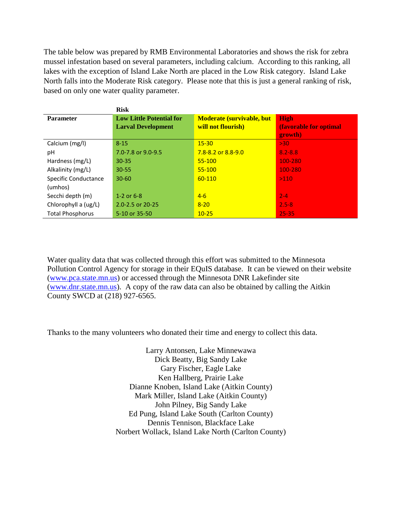The table below was prepared by RMB Environmental Laboratories and shows the risk for zebra mussel infestation based on several parameters, including calcium. According to this ranking, all lakes with the exception of Island Lake North are placed in the Low Risk category. Island Lake North falls into the Moderate Risk category. Please note that this is just a general ranking of risk, based on only one water quality parameter.

**Risk** 

|                             | <b>KISK</b>                     |                                  |                               |  |  |  |  |
|-----------------------------|---------------------------------|----------------------------------|-------------------------------|--|--|--|--|
| <b>Parameter</b>            | <b>Low Little Potential for</b> | <b>Moderate (survivable, but</b> | <b>High</b>                   |  |  |  |  |
|                             | <b>Larval Development</b>       | will not flourish)               | <b>(favorable for optimal</b> |  |  |  |  |
|                             |                                 |                                  | growth)                       |  |  |  |  |
| Calcium (mg/l)              | $8 - 15$                        | $15 - 30$                        | >30                           |  |  |  |  |
| рH                          | 7.0-7.8 or 9.0-9.5              | $7.8 - 8.2$ or $8.8 - 9.0$       | $8.2 - 8.8$                   |  |  |  |  |
| Hardness (mg/L)             | $30 - 35$                       | $55 - 100$                       | 100-280                       |  |  |  |  |
| Alkalinity (mg/L)           | $30 - 55$                       | $55 - 100$                       | 100-280                       |  |  |  |  |
| <b>Specific Conductance</b> | $30 - 60$                       | $60 - 110$                       | >110                          |  |  |  |  |
| (umhos)                     |                                 |                                  |                               |  |  |  |  |
| Secchi depth (m)            | 1-2 or $6-8$                    | $4-6$                            | $2 - 4$                       |  |  |  |  |
| Chlorophyll a (ug/L)        | 2.0-2.5 or 20-25                | $8 - 20$                         | $2.5 - 8$                     |  |  |  |  |
| <b>Total Phosphorus</b>     | 5-10 or 35-50                   | $10 - 25$                        | 25-35                         |  |  |  |  |

Water quality data that was collected through this effort was submitted to the Minnesota Pollution Control Agency for storage in their EQuIS database. It can be viewed on their website [\(www.pca.state.mn.us\)](http://www.pca.state.mn.us/) or accessed through the Minnesota DNR Lakefinder site [\(www.dnr.state.mn.us\)](http://www.dnr.state.mn.us/). A copy of the raw data can also be obtained by calling the Aitkin County SWCD at (218) 927-6565.

Thanks to the many volunteers who donated their time and energy to collect this data.

Larry Antonsen, Lake Minnewawa Dick Beatty, Big Sandy Lake Gary Fischer, Eagle Lake Ken Hallberg, Prairie Lake Dianne Knoben, Island Lake (Aitkin County) Mark Miller, Island Lake (Aitkin County) John Pilney, Big Sandy Lake Ed Pung, Island Lake South (Carlton County) Dennis Tennison, Blackface Lake Norbert Wollack, Island Lake North (Carlton County)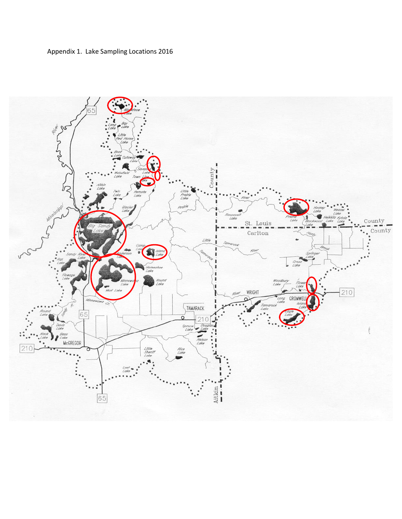